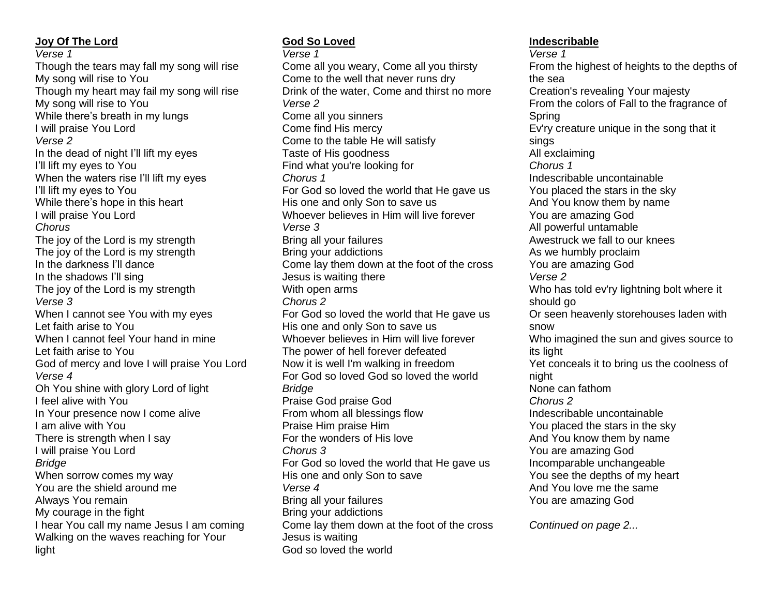### **Joy Of The Lord**

*Verse 1*

Though the tears may fall my song will rise My song will rise to You Though my heart may fail my song will rise My song will rise to You While there's breath in my lungs I will praise You Lord *Verse 2* In the dead of night I'll lift my eyes I'll lift my eyes to You When the waters rise I'll lift my eyes I'll lift my eyes to You While there's hope in this heart I will praise You Lord *Chorus* The joy of the Lord is my strength The joy of the Lord is my strength In the darkness I'll dance In the shadows I'll sing The joy of the Lord is my strength *Verse 3* When I cannot see You with my eyes Let faith arise to You When I cannot feel Your hand in mine Let faith arise to You God of mercy and love I will praise You Lord *Verse 4* Oh You shine with glory Lord of light I feel alive with You In Your presence now I come alive I am alive with You There is strength when I say I will praise You Lord *Bridge* When sorrow comes my way You are the shield around me Always You remain My courage in the fight I hear You call my name Jesus I am coming Walking on the waves reaching for Your light

# **God So Loved**

*Verse 1* Come all you weary, Come all you thirsty Come to the well that never runs dry Drink of the water, Come and thirst no more *Verse 2* Come all you sinners Come find His mercy Come to the table He will satisfy Taste of His goodness Find what you're looking for *Chorus 1* For God so loved the world that He gave us His one and only Son to save us Whoever believes in Him will live forever *Verse 3* Bring all your failures Bring your addictions Come lay them down at the foot of the cross Jesus is waiting there With open arms *Chorus 2* For God so loved the world that He gave us His one and only Son to save us Whoever believes in Him will live forever The power of hell forever defeated Now it is well I'm walking in freedom For God so loved God so loved the world *Bridge* Praise God praise God From whom all blessings flow Praise Him praise Him For the wonders of His love *Chorus 3* For God so loved the world that He gave us His one and only Son to save *Verse 4* Bring all your failures Bring your addictions Come lay them down at the foot of the cross Jesus is waiting God so loved the world

### **Indescribable**

*Verse 1* From the highest of heights to the depths of the sea Creation's revealing Your majesty From the colors of Fall to the fragrance of Spring Ev'ry creature unique in the song that it sings All exclaiming *Chorus 1* Indescribable uncontainable You placed the stars in the sky And You know them by name You are amazing God All powerful untamable Awestruck we fall to our knees As we humbly proclaim You are amazing God *Verse 2* Who has told ev'ry lightning bolt where it should go Or seen heavenly storehouses laden with snow Who imagined the sun and gives source to its light Yet conceals it to bring us the coolness of night None can fathom *Chorus 2* Indescribable uncontainable You placed the stars in the sky And You know them by name You are amazing God Incomparable unchangeable You see the depths of my heart And You love me the same You are amazing God

*Continued on page 2...*